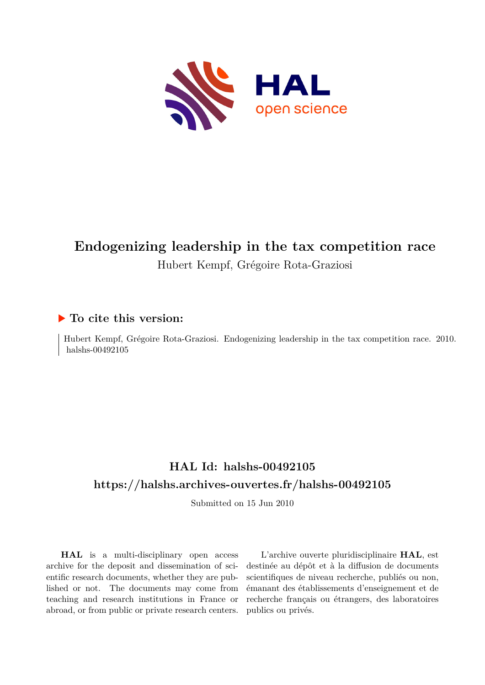

# **Endogenizing leadership in the tax competition race** Hubert Kempf, Grégoire Rota-Graziosi

### **To cite this version:**

Hubert Kempf, Grégoire Rota-Graziosi. Endogenizing leadership in the tax competition race. 2010. halshs-00492105

# **HAL Id: halshs-00492105 <https://halshs.archives-ouvertes.fr/halshs-00492105>**

Submitted on 15 Jun 2010

**HAL** is a multi-disciplinary open access archive for the deposit and dissemination of scientific research documents, whether they are published or not. The documents may come from teaching and research institutions in France or abroad, or from public or private research centers.

L'archive ouverte pluridisciplinaire **HAL**, est destinée au dépôt et à la diffusion de documents scientifiques de niveau recherche, publiés ou non, émanant des établissements d'enseignement et de recherche français ou étrangers, des laboratoires publics ou privés.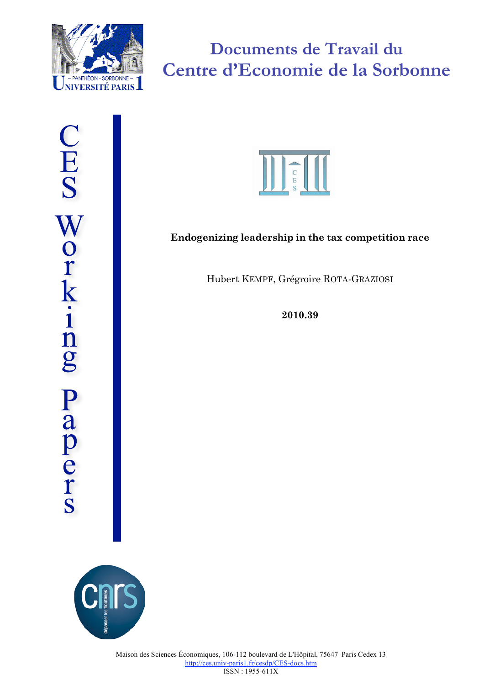

**Documents de Travail du Centre d'Economie de la Sorbonne**



# **Endogenizing leadership in the tax competition race**

Hubert KEMPF, Grégroire ROTA-GRAZIOSI

**2010.39**

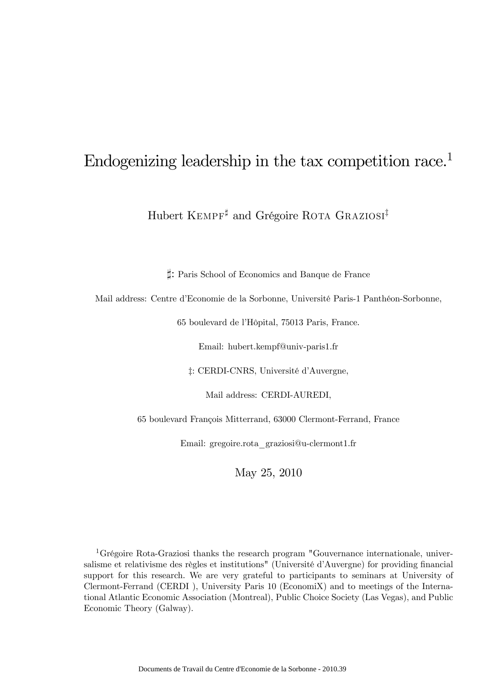# Endogenizing leadership in the tax competition race.1

Hubert KEMPF<sup>‡</sup> and Grégoire ROTA GRAZIOSI<sup>‡</sup>

`: Paris School of Economics and Banque de France

Mail address: Centre d'Economie de la Sorbonne, Université Paris-1 Panthéon-Sorbonne,

65 boulevard de l'Hôpital, 75013 Paris, France.

Email: hubert.kempf@univ-paris1.fr

‡: CERDI-CNRS, Université d'Auvergne,

Mail address: CERDI-AUREDI,

65 boulevard François Mitterrand, 63000 Clermont-Ferrand, France

Email: gregoire.rota\_graziosi@u-clermont1.fr

May 25, 2010

<sup>1</sup>Grégoire Rota-Graziosi thanks the research program "Gouvernance internationale, universalisme et relativisme des règles et institutions" (Université d'Auvergne) for providing financial support for this research. We are very grateful to participants to seminars at University of Clermont-Ferrand (CERDI ), University Paris 10 (EconomiX) and to meetings of the International Atlantic Economic Association (Montreal), Public Choice Society (Las Vegas), and Public Economic Theory (Galway).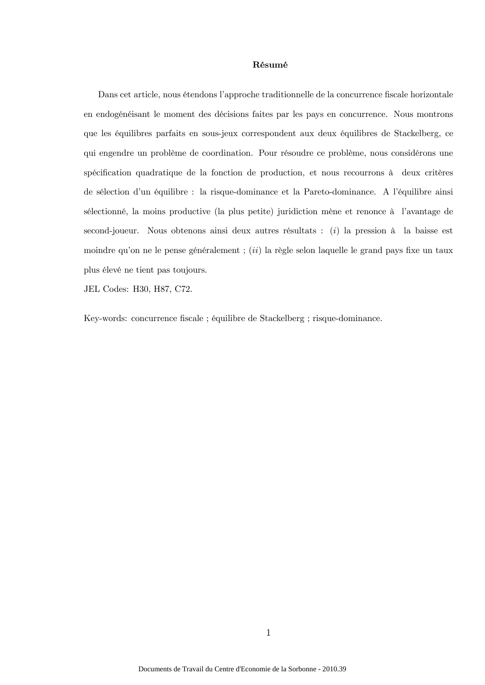#### Résumé

Dans cet article, nous étendons l'approche traditionnelle de la concurrence fiscale horizontale en endogénéisant le moment des décisions faites par les pays en concurrence. Nous montrons que les équilibres parfaits en sous-jeux correspondent aux deux équilibres de Stackelberg, ce qui engendre un problème de coordination. Pour résoudre ce problème, nous considérons une spécification quadratique de la fonction de production, et nous recourrons à deux critères de sélection d'un équilibre : la risque-dominance et la Pareto-dominance. A l'équilibre ainsi sélectionné, la moins productive (la plus petite) juridiction mène et renonce à l'avantage de second-joueur. Nous obtenons ainsi deux autres résultats : (i) la pression à la baisse est moindre qu'on ne le pense généralement ;  $(ii)$  la règle selon laquelle le grand pays fixe un taux plus élevé ne tient pas toujours.

JEL Codes: H30, H87, C72.

Key-words: concurrence fiscale ; équilibre de Stackelberg ; risque-dominance.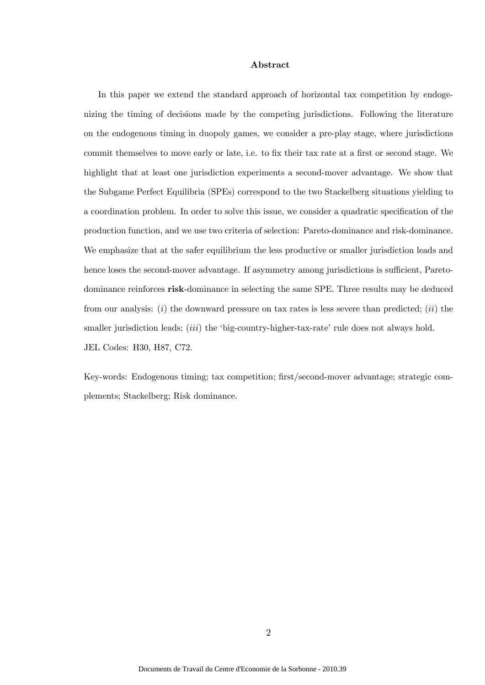#### Abstract

In this paper we extend the standard approach of horizontal tax competition by endogenizing the timing of decisions made by the competing jurisdictions. Following the literature on the endogenous timing in duopoly games, we consider a pre-play stage, where jurisdictions commit themselves to move early or late, i.e. to fix their tax rate at a first or second stage. We highlight that at least one jurisdiction experiments a second-mover advantage. We show that the Subgame Perfect Equilibria (SPEs) correspond to the two Stackelberg situations yielding to a coordination problem. In order to solve this issue, we consider a quadratic specification of the production function, and we use two criteria of selection: Pareto-dominance and risk-dominance. We emphasize that at the safer equilibrium the less productive or smaller jurisdiction leads and hence loses the second-mover advantage. If asymmetry among jurisdictions is sufficient, Paretodominance reinforces risk-dominance in selecting the same SPE. Three results may be deduced from our analysis: (i) the downward pressure on tax rates is less severe than predicted; (ii) the smaller jurisdiction leads; *(iii)* the 'big-country-higher-tax-rate' rule does not always hold. JEL Codes: H30, H87, C72.

Key-words: Endogenous timing; tax competition; first/second-mover advantage; strategic complements; Stackelberg; Risk dominance.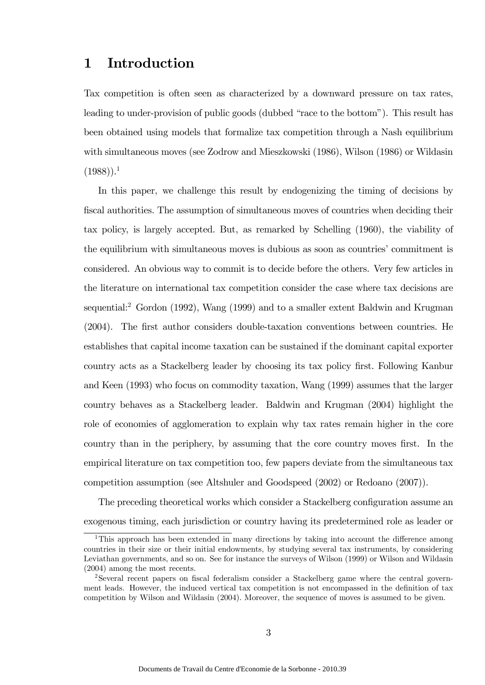# 1 Introduction

Tax competition is often seen as characterized by a downward pressure on tax rates, leading to under-provision of public goods (dubbed "race to the bottom"). This result has been obtained using models that formalize tax competition through a Nash equilibrium with simultaneous moves (see Zodrow and Mieszkowski (1986), Wilson (1986) or Wildasin  $(1988)$ ).<sup>1</sup>

In this paper, we challenge this result by endogenizing the timing of decisions by fiscal authorities. The assumption of simultaneous moves of countries when deciding their tax policy, is largely accepted. But, as remarked by Schelling (1960), the viability of the equilibrium with simultaneous moves is dubious as soon as countries' commitment is considered. An obvious way to commit is to decide before the others. Very few articles in the literature on international tax competition consider the case where tax decisions are sequential:<sup>2</sup> Gordon (1992), Wang (1999) and to a smaller extent Baldwin and Krugman (2004). The first author considers double-taxation conventions between countries. He establishes that capital income taxation can be sustained if the dominant capital exporter country acts as a Stackelberg leader by choosing its tax policy first. Following Kanbur and Keen (1993) who focus on commodity taxation, Wang (1999) assumes that the larger country behaves as a Stackelberg leader. Baldwin and Krugman (2004) highlight the role of economies of agglomeration to explain why tax rates remain higher in the core country than in the periphery, by assuming that the core country moves first. In the empirical literature on tax competition too, few papers deviate from the simultaneous tax competition assumption (see Altshuler and Goodspeed (2002) or Redoano (2007)).

The preceding theoretical works which consider a Stackelberg configuration assume an exogenous timing, each jurisdiction or country having its predetermined role as leader or

<sup>&</sup>lt;sup>1</sup>This approach has been extended in many directions by taking into account the difference among countries in their size or their initial endowments, by studying several tax instruments, by considering Leviathan governments, and so on. See for instance the surveys of Wilson (1999) or Wilson and Wildasin (2004) among the most recents.

<sup>2</sup>Several recent papers on fiscal federalism consider a Stackelberg game where the central government leads. However, the induced vertical tax competition is not encompassed in the definition of tax competition by Wilson and Wildasin (2004). Moreover, the sequence of moves is assumed to be given.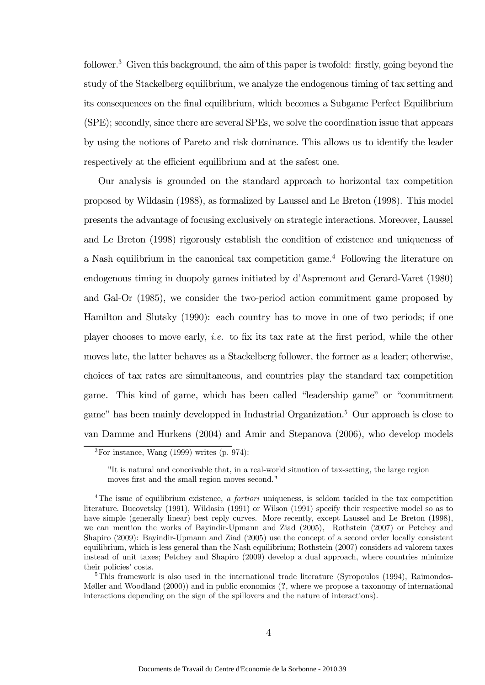follower.<sup>3</sup> Given this background, the aim of this paper is twofold: firstly, going beyond the study of the Stackelberg equilibrium, we analyze the endogenous timing of tax setting and its consequences on the final equilibrium, which becomes a Subgame Perfect Equilibrium (SPE); secondly, since there are several SPEs, we solve the coordination issue that appears by using the notions of Pareto and risk dominance. This allows us to identify the leader respectively at the efficient equilibrium and at the safest one.

Our analysis is grounded on the standard approach to horizontal tax competition proposed by Wildasin (1988), as formalized by Laussel and Le Breton (1998). This model presents the advantage of focusing exclusively on strategic interactions. Moreover, Laussel and Le Breton (1998) rigorously establish the condition of existence and uniqueness of a Nash equilibrium in the canonical tax competition game.<sup>4</sup> Following the literature on endogenous timing in duopoly games initiated by d'Aspremont and Gerard-Varet (1980) and Gal-Or (1985), we consider the two-period action commitment game proposed by Hamilton and Slutsky (1990): each country has to move in one of two periods; if one player chooses to move early, i.e. to fix its tax rate at the first period, while the other moves late, the latter behaves as a Stackelberg follower, the former as a leader; otherwise, choices of tax rates are simultaneous, and countries play the standard tax competition game. This kind of game, which has been called "leadership game" or "commitment game" has been mainly developped in Industrial Organization.5 Our approach is close to van Damme and Hurkens (2004) and Amir and Stepanova (2006), who develop models

 ${}^{3}$ For instance, Wang (1999) writes (p. 974):

<sup>&</sup>quot;It is natural and conceivable that, in a real-world situation of tax-setting, the large region moves first and the small region moves second."

<sup>&</sup>lt;sup>4</sup>The issue of equilibrium existence, a fortiori uniqueness, is seldom tackled in the tax competition literature. Bucovetsky (1991), Wildasin (1991) or Wilson (1991) specify their respective model so as to have simple (generally linear) best reply curves. More recently, except Laussel and Le Breton (1998), we can mention the works of Bayindir-Upmann and Ziad (2005), Rothstein (2007) or Petchey and Shapiro (2009): Bayindir-Upmann and Ziad (2005) use the concept of a second order locally consistent equilibrium, which is less general than the Nash equilibrium; Rothstein (2007) considers ad valorem taxes instead of unit taxes; Petchey and Shapiro (2009) develop a dual approach, where countries minimize their policies' costs.

 $5$ This framework is also used in the international trade literature (Syropoulos (1994), Raimondos-Møller and Woodland (2000)) and in public economics (?, where we propose a taxonomy of international interactions depending on the sign of the spillovers and the nature of interactions).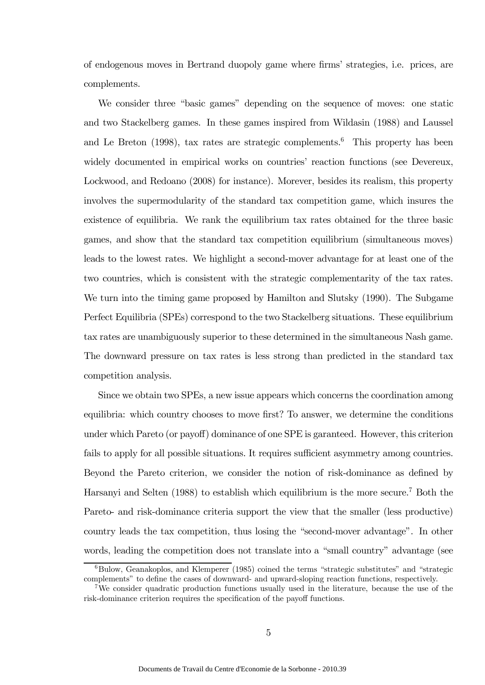of endogenous moves in Bertrand duopoly game where firms' strategies, i.e. prices, are complements.

We consider three "basic games" depending on the sequence of moves: one static and two Stackelberg games. In these games inspired from Wildasin (1988) and Laussel and Le Breton  $(1998)$ , tax rates are strategic complements.<sup>6</sup> This property has been widely documented in empirical works on countries' reaction functions (see Devereux, Lockwood, and Redoano (2008) for instance). Morever, besides its realism, this property involves the supermodularity of the standard tax competition game, which insures the existence of equilibria. We rank the equilibrium tax rates obtained for the three basic games, and show that the standard tax competition equilibrium (simultaneous moves) leads to the lowest rates. We highlight a second-mover advantage for at least one of the two countries, which is consistent with the strategic complementarity of the tax rates. We turn into the timing game proposed by Hamilton and Slutsky (1990). The Subgame Perfect Equilibria (SPEs) correspond to the two Stackelberg situations. These equilibrium tax rates are unambiguously superior to these determined in the simultaneous Nash game. The downward pressure on tax rates is less strong than predicted in the standard tax competition analysis.

Since we obtain two SPEs, a new issue appears which concerns the coordination among equilibria: which country chooses to move first? To answer, we determine the conditions under which Pareto (or payoff) dominance of one SPE is garanteed. However, this criterion fails to apply for all possible situations. It requires sufficient asymmetry among countries. Beyond the Pareto criterion, we consider the notion of risk-dominance as defined by Harsanyi and Selten (1988) to establish which equilibrium is the more secure.<sup>7</sup> Both the Pareto- and risk-dominance criteria support the view that the smaller (less productive) country leads the tax competition, thus losing the "second-mover advantage". In other words, leading the competition does not translate into a "small country" advantage (see

 $6Bulow$ , Geanakoplos, and Klemperer (1985) coined the terms "strategic substitutes" and "strategic complements" to define the cases of downward- and upward-sloping reaction functions, respectively.

<sup>&</sup>lt;sup>7</sup>We consider quadratic production functions usually used in the literature, because the use of the risk-dominance criterion requires the specification of the payoff functions.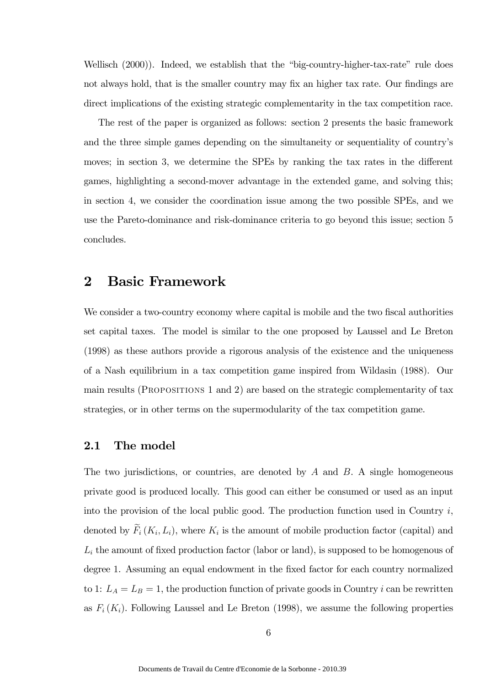Wellisch (2000)). Indeed, we establish that the "big-country-higher-tax-rate" rule does not always hold, that is the smaller country may fix an higher tax rate. Our findings are direct implications of the existing strategic complementarity in the tax competition race.

The rest of the paper is organized as follows: section 2 presents the basic framework and the three simple games depending on the simultaneity or sequentiality of country's moves; in section 3, we determine the SPEs by ranking the tax rates in the different games, highlighting a second-mover advantage in the extended game, and solving this; in section 4, we consider the coordination issue among the two possible SPEs, and we use the Pareto-dominance and risk-dominance criteria to go beyond this issue; section 5 concludes.

### 2 Basic Framework

We consider a two-country economy where capital is mobile and the two fiscal authorities set capital taxes. The model is similar to the one proposed by Laussel and Le Breton (1998) as these authors provide a rigorous analysis of the existence and the uniqueness of a Nash equilibrium in a tax competition game inspired from Wildasin (1988). Our main results (Propositions 1 and 2) are based on the strategic complementarity of tax strategies, or in other terms on the supermodularity of the tax competition game.

#### 2.1 The model

The two jurisdictions, or countries, are denoted by  $A$  and  $B$ . A single homogeneous private good is produced locally. This good can either be consumed or used as an input into the provision of the local public good. The production function used in Country  $i$ , denoted by  $\widetilde{F}_i(K_i, L_i)$ , where  $K_i$  is the amount of mobile production factor (capital) and  $L_i$  the amount of fixed production factor (labor or land), is supposed to be homogenous of degree 1. Assuming an equal endowment in the fixed factor for each country normalized to 1:  $L_A = L_B = 1$ , the production function of private goods in Country *i* can be rewritten as  $F_i(K_i)$ . Following Laussel and Le Breton (1998), we assume the following properties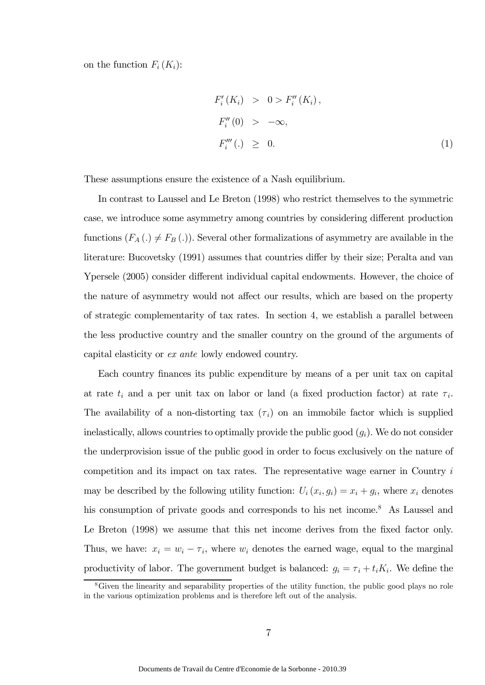on the function  $F_i(K_i)$ :

$$
F'_{i}(K_{i}) > 0 > F''_{i}(K_{i}),
$$
  
\n
$$
F''_{i}(0) > -\infty,
$$
  
\n
$$
F'''_{i}(.) \geq 0.
$$
 (1)

These assumptions ensure the existence of a Nash equilibrium.

In contrast to Laussel and Le Breton (1998) who restrict themselves to the symmetric case, we introduce some asymmetry among countries by considering different production functions  $(F_A(.) \neq F_B(.))$ . Several other formalizations of asymmetry are available in the literature: Bucovetsky (1991) assumes that countries differ by their size; Peralta and van Ypersele (2005) consider different individual capital endowments. However, the choice of the nature of asymmetry would not affect our results, which are based on the property of strategic complementarity of tax rates. In section 4, we establish a parallel between the less productive country and the smaller country on the ground of the arguments of capital elasticity or ex ante lowly endowed country.

Each country finances its public expenditure by means of a per unit tax on capital at rate  $t_i$  and a per unit tax on labor or land (a fixed production factor) at rate  $\tau_i$ . The availability of a non-distorting tax  $(\tau_i)$  on an immobile factor which is supplied inelastically, allows countries to optimally provide the public good  $(q_i)$ . We do not consider the underprovision issue of the public good in order to focus exclusively on the nature of competition and its impact on tax rates. The representative wage earner in Country i may be described by the following utility function:  $U_i(x_i, g_i) = x_i + g_i$ , where  $x_i$  denotes his consumption of private goods and corresponds to his net income.<sup>8</sup> As Laussel and Le Breton (1998) we assume that this net income derives from the fixed factor only. Thus, we have:  $x_i = w_i - \tau_i$ , where  $w_i$  denotes the earned wage, equal to the marginal productivity of labor. The government budget is balanced:  $g_i = \tau_i + t_i K_i$ . We define the

<sup>8</sup>Given the linearity and separability properties of the utility function, the public good plays no role in the various optimization problems and is therefore left out of the analysis.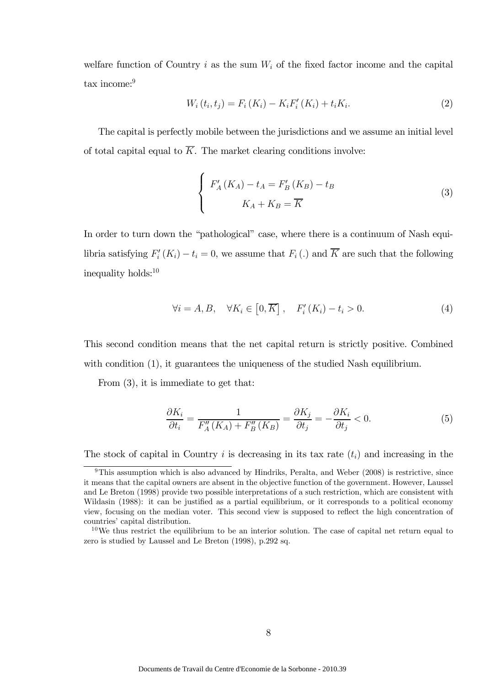welfare function of Country i as the sum  $W_i$  of the fixed factor income and the capital tax income:<sup>9</sup>

$$
W_i(t_i, t_j) = F_i(K_i) - K_i F'_i(K_i) + t_i K_i.
$$
\n(2)

The capital is perfectly mobile between the jurisdictions and we assume an initial level of total capital equal to  $\overline{K}$ . The market clearing conditions involve:

$$
\begin{cases}\nF'_A(K_A) - t_A = F'_B(K_B) - t_B \\
K_A + K_B = \overline{K}\n\end{cases}
$$
\n(3)

In order to turn down the "pathological" case, where there is a continuum of Nash equilibria satisfying  $F_i'(K_i) - t_i = 0$ , we assume that  $F_i(.)$  and K are such that the following inequality holds:10

$$
\forall i = A, B, \quad \forall K_i \in [0, \overline{K}], \quad F'_i(K_i) - t_i > 0. \tag{4}
$$

This second condition means that the net capital return is strictly positive. Combined with condition (1), it guarantees the uniqueness of the studied Nash equilibrium.

From (3), it is immediate to get that:

$$
\frac{\partial K_i}{\partial t_i} = \frac{1}{F_A''(K_A) + F_B''(K_B)} = \frac{\partial K_j}{\partial t_j} = -\frac{\partial K_i}{\partial t_j} < 0. \tag{5}
$$

The stock of capital in Country i is decreasing in its tax rate  $(t_i)$  and increasing in the

<sup>&</sup>lt;sup>9</sup>This assumption which is also advanced by Hindriks, Peralta, and Weber (2008) is restrictive, since it means that the capital owners are absent in the objective function of the government. However, Laussel and Le Breton (1998) provide two possible interpretations of a such restriction, which are consistent with Wildasin (1988): it can be justified as a partial equilibrium, or it corresponds to a political economy view, focusing on the median voter. This second view is supposed to reflect the high concentration of countries' capital distribution.

 $10$ We thus restrict the equilibrium to be an interior solution. The case of capital net return equal to zero is studied by Laussel and Le Breton (1998), p.292 sq.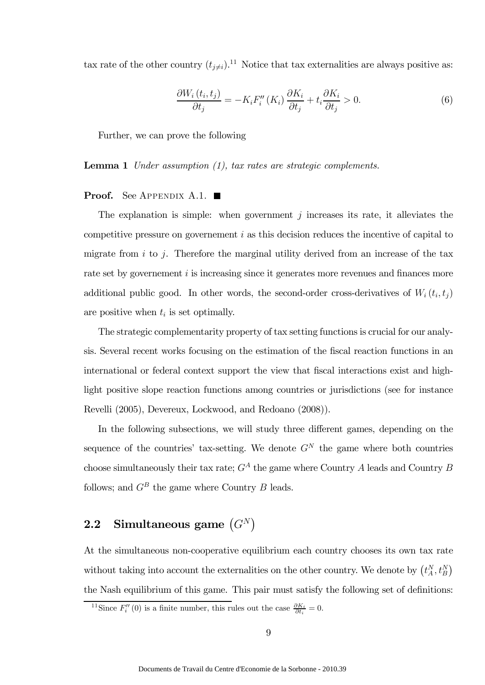tax rate of the other country  $(t_{j\neq i})$ .<sup>11</sup> Notice that tax externalities are always positive as:

$$
\frac{\partial W_i(t_i, t_j)}{\partial t_j} = -K_i F_i''(K_i) \frac{\partial K_i}{\partial t_j} + t_i \frac{\partial K_i}{\partial t_j} > 0.
$$
\n(6)

Further, we can prove the following

Lemma 1 Under assumption (1), tax rates are strategic complements.

#### **Proof.** See APPENDIX A.1.  $\blacksquare$

The explanation is simple: when government  $j$  increases its rate, it alleviates the competitive pressure on governement i as this decision reduces the incentive of capital to migrate from  $i$  to  $j$ . Therefore the marginal utility derived from an increase of the tax rate set by governement *i* is increasing since it generates more revenues and finances more additional public good. In other words, the second-order cross-derivatives of  $W_i(t_i, t_j)$ are positive when  $t_i$  is set optimally.

The strategic complementarity property of tax setting functions is crucial for our analysis. Several recent works focusing on the estimation of the fiscal reaction functions in an international or federal context support the view that fiscal interactions exist and highlight positive slope reaction functions among countries or jurisdictions (see for instance Revelli (2005), Devereux, Lockwood, and Redoano (2008)).

In the following subsections, we will study three different games, depending on the sequence of the countries' tax-setting. We denote  $G<sup>N</sup>$  the game where both countries choose simultaneously their tax rate;  $G^A$  the game where Country A leads and Country B follows; and  $G^B$  the game where Country B leads.

# 2.2 Simultaneous game  $(G^N)$

At the simultaneous non-cooperative equilibrium each country chooses its own tax rate without taking into account the externalities on the other country. We denote by  $(t_A^N, t_B^N)$ the Nash equilibrium of this game. This pair must satisfy the following set of definitions:

<sup>&</sup>lt;sup>11</sup>Since  $F''_i(0)$  is a finite number, this rules out the case  $\frac{\partial K_i}{\partial t_i} = 0$ .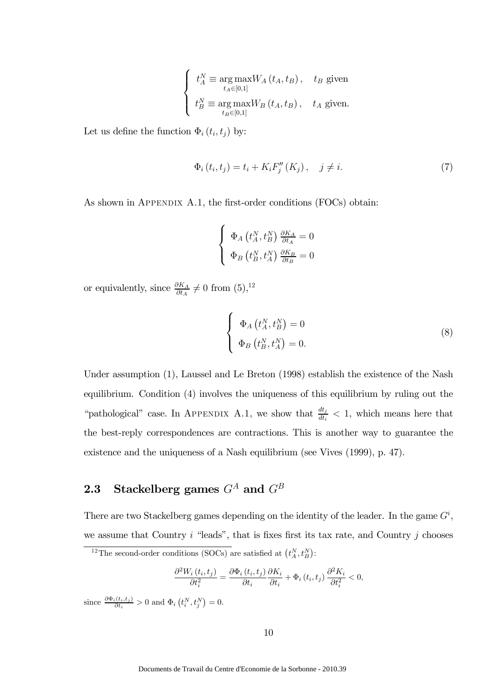$$
\left\{ \begin{array}{ll} t_{A}^{N}\equiv\mathop{\arg\max\limits_{t_{A}\in[0,1]}}W_{A}\left(t_{A},t_{B}\right), & t_{B} \text { given} \\ t_{B}^{N}\equiv\mathop{\arg\max\limits_{t_{B}\in[0,1]}}W_{B}\left(t_{A},t_{B}\right), & t_{A} \text { given.} \end{array} \right.
$$

Let us define the function  $\Phi_i(t_i, t_j)$  by:

$$
\Phi_i(t_i, t_j) = t_i + K_i F''_j(K_j), \quad j \neq i. \tag{7}
$$

As shown in APPENDIX A.1, the first-order conditions (FOCs) obtain:

$$
\left\{ \begin{array}{l} \Phi_A\left(t_A^N, t_B^N\right)\frac{\partial K_A}{\partial t_A}=0\\ \Phi_B\left(t_B^N, t_A^N\right)\frac{\partial K_B}{\partial t_B}=0 \end{array} \right.
$$

or equivalently, since  $\frac{\partial K_A}{\partial t_A} \neq 0$  from  $(5)$ ,<sup>12</sup>

$$
\begin{cases}\n\Phi_A(t_A^N, t_B^N) = 0\\ \n\Phi_B(t_B^N, t_A^N) = 0.\n\end{cases}
$$
\n(8)

Under assumption (1), Laussel and Le Breton (1998) establish the existence of the Nash equilibrium. Condition (4) involves the uniqueness of this equilibrium by ruling out the "pathological" case. In APPENDIX A.1, we show that  $\frac{dt_j}{dt_i} < 1$ , which means here that the best-reply correspondences are contractions. This is another way to guarantee the existence and the uniqueness of a Nash equilibrium (see Vives (1999), p. 47).

# **2.3** Stackelberg games  $G^A$  and  $G^B$

There are two Stackelberg games depending on the identity of the leader. In the game  $G^i$ , we assume that Country  $i$  "leads", that is fixes first its tax rate, and Country  $j$  chooses

$$
\frac{\partial^2 W_i(t_i, t_j)}{\partial t_i^2} = \frac{\partial \Phi_i(t_i, t_j)}{\partial t_i} \frac{\partial K_i}{\partial t_i} + \Phi_i(t_i, t_j) \frac{\partial^2 K_i}{\partial t_i^2} < 0,
$$

since  $\frac{\partial \Phi_i(t_i,t_j)}{\partial t_i} > 0$  and  $\Phi_i\left(t_i^N,t_j^N\right) = 0$ .

<sup>&</sup>lt;sup>12</sup>The second-order conditions (SOCs) are satisfied at  $(t_A^N, t_B^N)$ :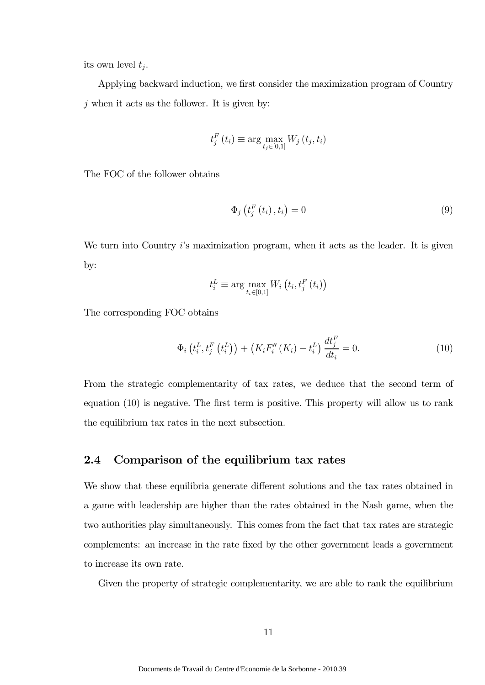its own level  $t_j$ .

Applying backward induction, we first consider the maximization program of Country  $j$  when it acts as the follower. It is given by:

$$
t_j^F(t_i) \equiv \arg \max_{t_j \in [0,1]} W_j(t_j, t_i)
$$

The FOC of the follower obtains

$$
\Phi_{j}\left(t_{j}^{F}\left(t_{i}\right), t_{i}\right) = 0\tag{9}
$$

We turn into Country  $i$ 's maximization program, when it acts as the leader. It is given by:

$$
t_i^L \equiv \arg \max_{t_i \in [0,1]} W_i \left( t_i, t_j^F \left( t_i \right) \right)
$$

The corresponding FOC obtains

$$
\Phi_{i}\left(t_{i}^{L}, t_{j}^{F}\left(t_{i}^{L}\right)\right) + \left(K_{i}F_{i}''\left(K_{i}\right) - t_{i}^{L}\right)\frac{dt_{j}^{F}}{dt_{i}} = 0.
$$
\n(10)

From the strategic complementarity of tax rates, we deduce that the second term of equation (10) is negative. The first term is positive. This property will allow us to rank the equilibrium tax rates in the next subsection.

#### 2.4 Comparison of the equilibrium tax rates

We show that these equilibria generate different solutions and the tax rates obtained in a game with leadership are higher than the rates obtained in the Nash game, when the two authorities play simultaneously. This comes from the fact that tax rates are strategic complements: an increase in the rate fixed by the other government leads a government to increase its own rate.

Given the property of strategic complementarity, we are able to rank the equilibrium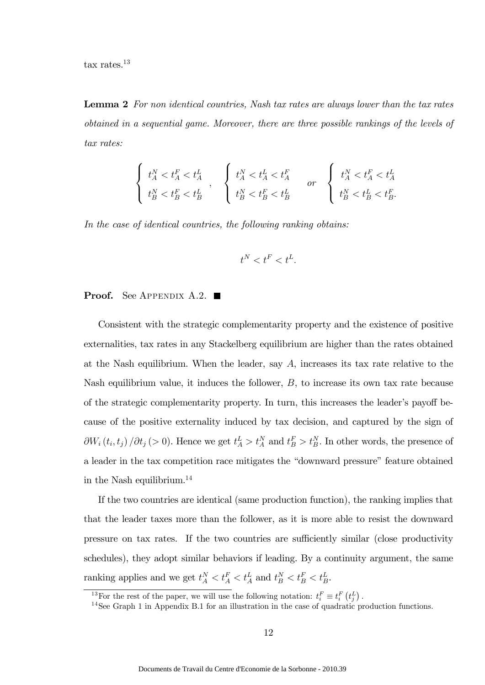tax rates.13

Lemma 2 For non identical countries. Nash tax rates are always lower than the tax rates obtained in a sequential game. Moreover, there are three possible rankings of the levels of tax rates:

$$
\left\{ \begin{array}{l} t_{A}^{N}
$$

In the case of identical countries, the following ranking obtains:

$$
t^N < t^F < t^L.
$$

#### **Proof.** See Appendix A.2.  $\blacksquare$

Consistent with the strategic complementarity property and the existence of positive externalities, tax rates in any Stackelberg equilibrium are higher than the rates obtained at the Nash equilibrium. When the leader, say A, increases its tax rate relative to the Nash equilibrium value, it induces the follower, B, to increase its own tax rate because of the strategic complementarity property. In turn, this increases the leader's payoff because of the positive externality induced by tax decision, and captured by the sign of  $\partial W_i(t_i, t_j) / \partial t_j$  (> 0). Hence we get  $t_A^L > t_A^N$  and  $t_B^F > t_B^N$ . In other words, the presence of a leader in the tax competition race mitigates the "downward pressure" feature obtained in the Nash equilibrium.14

If the two countries are identical (same production function), the ranking implies that that the leader taxes more than the follower, as it is more able to resist the downward pressure on tax rates. If the two countries are sufficiently similar (close productivity schedules), they adopt similar behaviors if leading. By a continuity argument, the same ranking applies and we get  $t_A^N < t_A^F < t_A^L$  and  $t_B^N < t_B^F < t_B^L$ .

<sup>&</sup>lt;sup>13</sup>For the rest of the paper, we will use the following notation:  $t_i^F \equiv t_i^F(t_j^L)$ .

<sup>&</sup>lt;sup>14</sup>See Graph 1 in Appendix B.1 for an illustration in the case of quadratic production functions.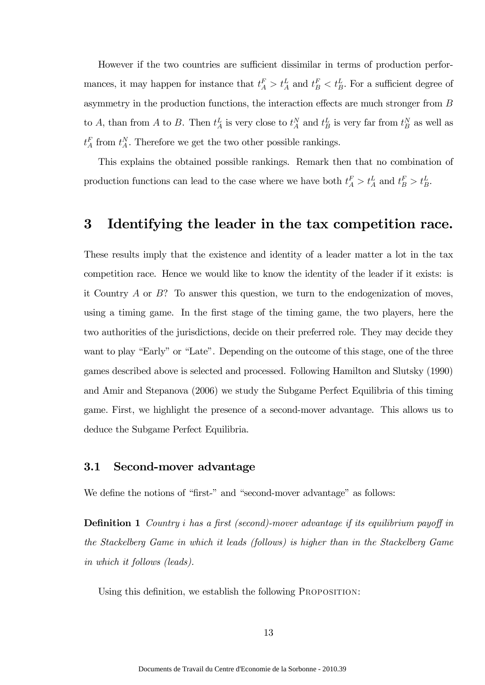However if the two countries are sufficient dissimilar in terms of production performances, it may happen for instance that  $t_A^F > t_A^L$  and  $t_B^F < t_B^L$ . For a sufficient degree of asymmetry in the production functions, the interaction effects are much stronger from B to A, than from A to B. Then  $t_A^L$  is very close to  $t_A^N$  and  $t_B^L$  is very far from  $t_B^N$  as well as  $t_A^F$  from  $t_A^N$ . Therefore we get the two other possible rankings.

This explains the obtained possible rankings. Remark then that no combination of production functions can lead to the case where we have both  $t_A^F > t_A^L$  and  $t_B^F > t_B^L$ .

## 3 Identifying the leader in the tax competition race.

These results imply that the existence and identity of a leader matter a lot in the tax competition race. Hence we would like to know the identity of the leader if it exists: is it Country  $A$  or  $B$ ? To answer this question, we turn to the endogenization of moves, using a timing game. In the first stage of the timing game, the two players, here the two authorities of the jurisdictions, decide on their preferred role. They may decide they want to play "Early" or "Late". Depending on the outcome of this stage, one of the three games described above is selected and processed. Following Hamilton and Slutsky (1990) and Amir and Stepanova (2006) we study the Subgame Perfect Equilibria of this timing game. First, we highlight the presence of a second-mover advantage. This allows us to deduce the Subgame Perfect Equilibria.

#### 3.1 Second-mover advantage

We define the notions of "first-" and "second-mover advantage" as follows:

**Definition 1** Country *i* has a first (second)-mover advantage if its equilibrium payoff in the Stackelberg Game in which it leads (follows) is higher than in the Stackelberg Game in which it follows (leads).

Using this definition, we establish the following PROPOSITION: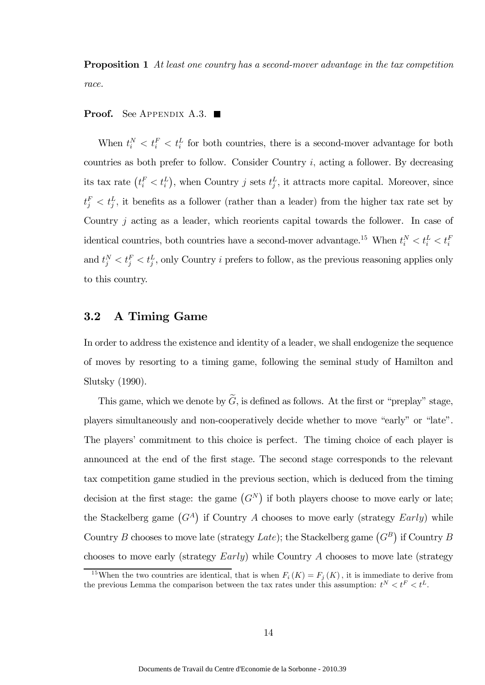**Proposition 1** At least one country has a second-mover advantage in the tax competition race.

#### **Proof.** See APPENDIX A.3.

When  $t_i^N < t_i^E < t_i^L$  for both countries, there is a second-mover advantage for both countries as both prefer to follow. Consider Country  $i$ , acting a follower. By decreasing its tax rate  $(t_i^F < t_i^L)$ , when Country j sets  $t_j^L$ , it attracts more capital. Moreover, since  $t_j^F < t_j^L$ , it benefits as a follower (rather than a leader) from the higher tax rate set by Country j acting as a leader, which reorients capital towards the follower. In case of identical countries, both countries have a second-mover advantage.<sup>15</sup> When  $t_i^N < t_i^L < t_i^E$ and  $t_j^N < t_j^E < t_j^L$ , only Country i prefers to follow, as the previous reasoning applies only to this country.

### 3.2 A Timing Game

In order to address the existence and identity of a leader, we shall endogenize the sequence of moves by resorting to a timing game, following the seminal study of Hamilton and Slutsky (1990).

This game, which we denote by  $\widetilde{G}$ , is defined as follows. At the first or "preplay" stage, players simultaneously and non-cooperatively decide whether to move "early" or "late". The players' commitment to this choice is perfect. The timing choice of each player is announced at the end of the first stage. The second stage corresponds to the relevant tax competition game studied in the previous section, which is deduced from the timing decision at the first stage: the game  $(G<sup>N</sup>)$  if both players choose to move early or late; the Stackelberg game  $(G<sup>A</sup>)$  if Country A chooses to move early (strategy  $Early)$  while Country B chooses to move late (strategy Late); the Stackelberg game  $(G^B)$  if Country B chooses to move early (strategy Early) while Country A chooses to move late (strategy

<sup>&</sup>lt;sup>15</sup>When the two countries are identical, that is when  $F_i(K) = F_j(K)$ , it is immediate to derive from the previous Lemma the comparison between the tax rates under this assumption:  $t^N < t^F < t^L$ .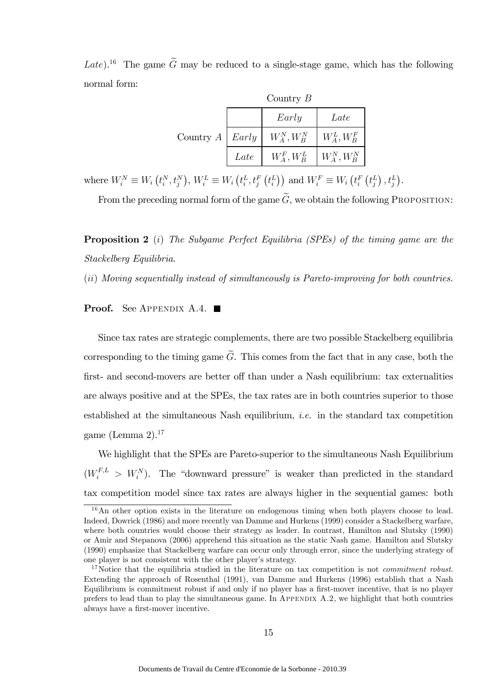Late).<sup>16</sup> The game  $\tilde{G}$  may be reduced to a single-stage game, which has the following normal form:

|                        | Country $B$ |                |                            |  |
|------------------------|-------------|----------------|----------------------------|--|
|                        |             | Early          | Late                       |  |
| Country $A \mid Early$ |             | $W_A^N, W_B^N$ | $\mid W_A^L, W_B^F$        |  |
|                        | Late        | $W_A^F, W_B^L$ | $\mid W_{A}^{N},W_{B}^{N}$ |  |

where  $W_i^N \equiv W_i(t_i^N, t_j^N), W_i^L \equiv W_i(t_i^L, t_j^F(t_i^L))$  and  $W_i^F \equiv W_i(t_i^F(t_j^L), t_j^L)$ .

From the preceding normal form of the game  $\widetilde{G}$ , we obtain the following PROPOSITION:

Proposition 2 (i) The Subgame Perfect Equilibria (SPEs) of the timing game are the Stackelberg Equilibria.

(ii) Moving sequentially instead of simultaneously is Pareto-improving for both countries.

#### **Proof.** See APPENDIX A.4.  $\blacksquare$

Since tax rates are strategic complements, there are two possible Stackelberg equilibria corresponding to the timing game  $\tilde{G}$ . This comes from the fact that in any case, both the first- and second-movers are better off than under a Nash equilibrium: tax externalities are always positive and at the SPEs, the tax rates are in both countries superior to those established at the simultaneous Nash equilibrium, i.e. in the standard tax competition game (Lemma 2).17

We highlight that the SPEs are Pareto-superior to the simultaneous Nash Equilibrium  $(W_i^{F,L} > W_i^N)$ . The "downward pressure" is weaker than predicted in the standard tax competition model since tax rates are always higher in the sequential games: both

<sup>&</sup>lt;sup>16</sup>An other option exists in the literature on endogenous timing when both players choose to lead. Indeed, Dowrick (1986) and more recently van Damme and Hurkens (1999) consider a Stackelberg warfare, where both countries would choose their strategy as leader. In contrast, Hamilton and Slutsky (1990) or Amir and Stepanova (2006) apprehend this situation as the static Nash game. Hamilton and Slutsky (1990) emphasize that Stackelberg warfare can occur only through error, since the underlying strategy of one player is not consistent with the other player's strategy.

<sup>&</sup>lt;sup>17</sup>Notice that the equilibria studied in the literature on tax competition is not *commitment robust*. Extending the approach of Rosenthal (1991), van Damme and Hurkens (1996) establish that a Nash Equilibrium is commitment robust if and only if no player has a first-mover incentive, that is no player prefers to lead than to play the simultaneous game. In APPENDIX A.2, we highlight that both countries always have a first-mover incentive.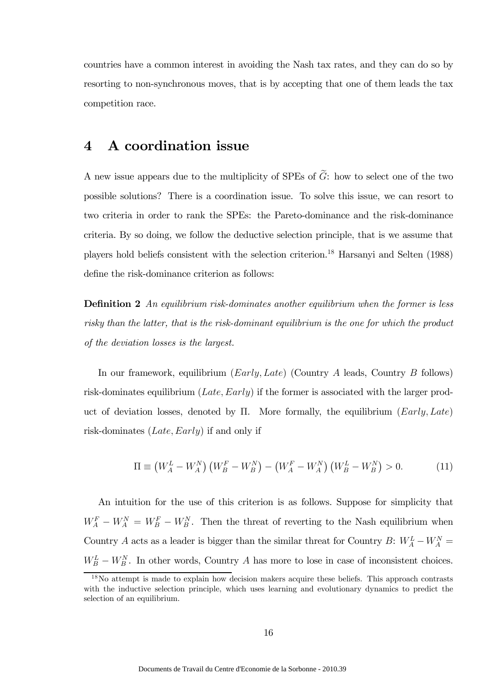countries have a common interest in avoiding the Nash tax rates, and they can do so by resorting to non-synchronous moves, that is by accepting that one of them leads the tax competition race.

# 4 A coordination issue

A new issue appears due to the multiplicity of SPEs of  $\tilde{G}$ : how to select one of the two possible solutions? There is a coordination issue. To solve this issue, we can resort to two criteria in order to rank the SPEs: the Pareto-dominance and the risk-dominance criteria. By so doing, we follow the deductive selection principle, that is we assume that players hold beliefs consistent with the selection criterion.18 Harsanyi and Selten (1988) define the risk-dominance criterion as follows:

**Definition 2** An equilibrium risk-dominates another equilibrium when the former is less risky than the latter, that is the risk-dominant equilibrium is the one for which the product of the deviation losses is the largest.

In our framework, equilibrium (Early, Late) (Country A leads, Country B follows) risk-dominates equilibrium (Late, Early) if the former is associated with the larger product of deviation losses, denoted by  $\Pi$ . More formally, the equilibrium (Early, Late) risk-dominates (Late, Early) if and only if

$$
\Pi \equiv \left(W_A^L - W_A^N\right) \left(W_B^F - W_B^N\right) - \left(W_A^F - W_A^N\right) \left(W_B^L - W_B^N\right) > 0. \tag{11}
$$

An intuition for the use of this criterion is as follows. Suppose for simplicity that  $W_A^F - W_A^N = W_B^F - W_B^N$ . Then the threat of reverting to the Nash equilibrium when Country A acts as a leader is bigger than the similar threat for Country B:  $W_A^L - W_A^N =$  $W_B^L - W_B^N$ . In other words, Country A has more to lose in case of inconsistent choices.

<sup>18</sup>No attempt is made to explain how decision makers acquire these beliefs. This approach contrasts with the inductive selection principle, which uses learning and evolutionary dynamics to predict the selection of an equilibrium.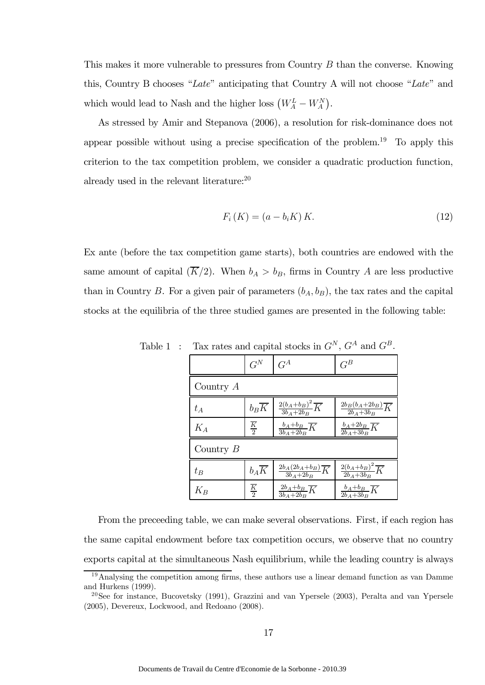This makes it more vulnerable to pressures from Country B than the converse. Knowing this, Country B chooses "Late" anticipating that Country A will not choose "Late" and which would lead to Nash and the higher loss  $\left(W_A^L - W_A^N\right)$ .

As stressed by Amir and Stepanova (2006), a resolution for risk-dominance does not appear possible without using a precise specification of the problem.<sup>19</sup> To apply this criterion to the tax competition problem, we consider a quadratic production function, already used in the relevant literature:20

$$
F_i(K) = (a - b_i K) K.
$$
\n
$$
(12)
$$

Ex ante (before the tax competition game starts), both countries are endowed with the same amount of capital  $(\overline{K}/2)$ . When  $b_A > b_B$ , firms in Country A are less productive than in Country B. For a given pair of parameters  $(b_A, b_B)$ , the tax rates and the capital stocks at the equilibria of the three studied games are presented in the following table:

|             | $G^N$                    | $G^A$                                          | $G^B$                                          |  |
|-------------|--------------------------|------------------------------------------------|------------------------------------------------|--|
| Country $A$ |                          |                                                |                                                |  |
| $t_A$       | $b_B\overline{K}$        | $\frac{2(b_A+b_B)^2}{3b_A+2b_B}\overline{K}$   | $\frac{2b_B(b_A+2b_B)}{2b_A+3b_B}\overline{K}$ |  |
| $K_A$       | $\frac{\overline{K}}{2}$ | $\frac{b_A + b_B}{3b_A + 2b_B}\overline{K}$    | $\frac{b_A+2b_B}{2b_A+3b_B}\overline{K}$       |  |
| Country $B$ |                          |                                                |                                                |  |
| $t_B$       | $b_A\overline{K}$        | $\frac{2b_A(2b_A+b_B)}{3b_A+2b_B}\overline{K}$ | $\frac{2(b_A+b_B)^2}{2b_A+3b_B}\overline{K}$   |  |
| $K_B$       | $\frac{\overline{K}}{2}$ | $\frac{2b_A+b_B}{3b_A+2b_B}\overline{K}$       | $\frac{b_A+b_B}{2b_A+3b_B}\overline{K}$        |  |

Table 1 : Tax rates and capital stocks in  $G^N$ ,  $G^A$  and  $G^B$ .

From the preceeding table, we can make several observations. First, if each region has the same capital endowment before tax competition occurs, we observe that no country exports capital at the simultaneous Nash equilibrium, while the leading country is always

<sup>&</sup>lt;sup>19</sup>Analysing the competition among firms, these authors use a linear demand function as van Damme and Hurkens (1999).

<sup>20</sup>See for instance, Bucovetsky (1991), Grazzini and van Ypersele (2003), Peralta and van Ypersele (2005), Devereux, Lockwood, and Redoano (2008).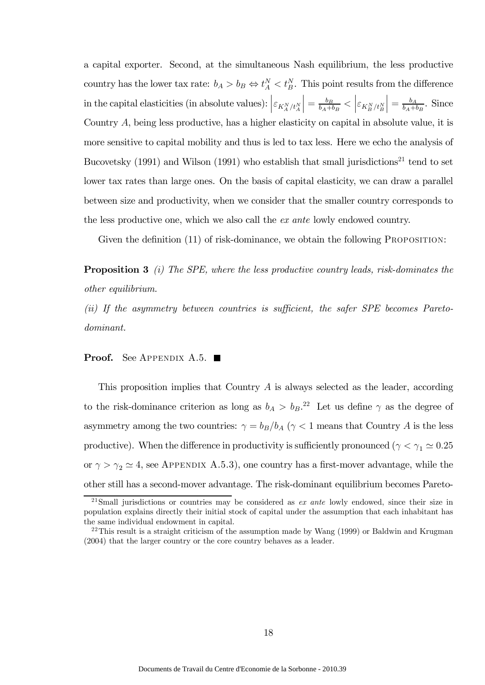a capital exporter. Second, at the simultaneous Nash equilibrium, the less productive country has the lower tax rate:  $b_A > b_B \Leftrightarrow t_A^N < t_B^N$ . This point results from the difference in the capital elasticities (in absolute values):  $\left| \varepsilon_{K_{A}^{N}/t_{A}^{N}}\right|$  $\Big\vert = \frac{b_B}{b_A+b_B} < \Big\vert \varepsilon_{K_B^N/t_B^N}$  $\Big| = \frac{b_A}{b_A + b_B}$ . Since Country A, being less productive, has a higher elasticity on capital in absolute value, it is more sensitive to capital mobility and thus is led to tax less. Here we echo the analysis of Bucovetsky (1991) and Wilson (1991) who establish that small jurisdictions<sup>21</sup> tend to set lower tax rates than large ones. On the basis of capital elasticity, we can draw a parallel between size and productivity, when we consider that the smaller country corresponds to the less productive one, which we also call the ex ante lowly endowed country.

Given the definition (11) of risk-dominance, we obtain the following PROPOSITION:

**Proposition 3** (i) The SPE, where the less productive country leads, risk-dominates the other equilibrium.

(ii) If the asymmetry between countries is sufficient, the safer SPE becomes Paretodominant.

**Proof.** See Appendix A.5.  $\blacksquare$ 

This proposition implies that Country A is always selected as the leader, according to the risk-dominance criterion as long as  $b_A > b_B$ <sup>22</sup>. Let us define  $\gamma$  as the degree of asymmetry among the two countries:  $\gamma = b_B/b_A$  ( $\gamma < 1$  means that Country A is the less productive). When the difference in productivity is sufficiently pronounced ( $\gamma < \gamma_1 \simeq 0.25$ or  $\gamma > \gamma_2 \simeq 4$ , see APPENDIX A.5.3), one country has a first-mover advantage, while the other still has a second-mover advantage. The risk-dominant equilibrium becomes Pareto-

<sup>&</sup>lt;sup>21</sup>Small jurisdictions or countries may be considered as  $ex$  ante lowly endowed, since their size in population explains directly their initial stock of capital under the assumption that each inhabitant has the same individual endowment in capital.

<sup>&</sup>lt;sup>22</sup>This result is a straight criticism of the assumption made by Wang  $(1999)$  or Baldwin and Krugman (2004) that the larger country or the core country behaves as a leader.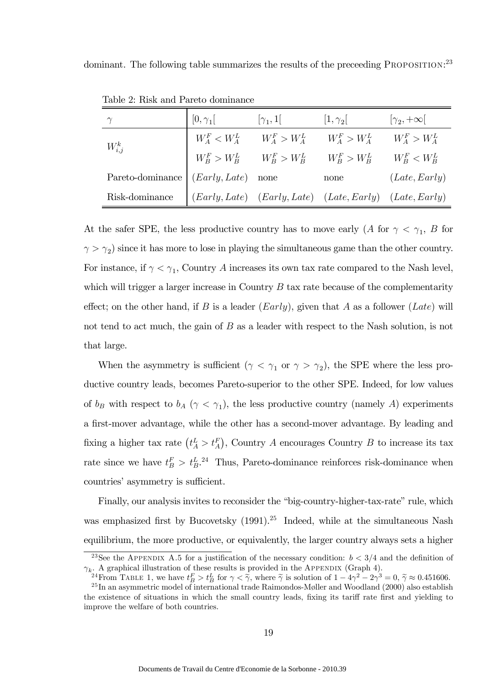dominant. The following table summarizes the results of the preceeding PROPOSITION:<sup>23</sup>

|                  | $[0,\gamma_1]$       | $[\gamma_1, 1]$                                           | $ 1,\gamma_2 $                                          | $ \gamma_2, +\infty $ |
|------------------|----------------------|-----------------------------------------------------------|---------------------------------------------------------|-----------------------|
| $W_{i,j}^k$      | $W_A^F < W_A^L$      | $W_A^F > W_A^L$                                           | $W_A^F > W_A^L$                                         | $W_A^F > W_A^L$       |
|                  |                      | $W_B^F > W_B^L \qquad W_B^F > W_B^L \qquad W_B^F > W_B^L$ |                                                         | $W_R^F < W_R^L$       |
| Pareto-dominance | $(Early, Late)$ none |                                                           | none                                                    | (Late, Early)         |
| Risk-dominance   |                      |                                                           | (Early, Late) (Early, Late) (Late, Early) (Late, Early) |                       |

Table 2: Risk and Pareto dominance

At the safer SPE, the less productive country has to move early (A for  $\gamma < \gamma_1$ , B for  $\gamma > \gamma_2$ ) since it has more to lose in playing the simultaneous game than the other country. For instance, if  $\gamma < \gamma_1$ , Country A increases its own tax rate compared to the Nash level, which will trigger a larger increase in Country  $B$  tax rate because of the complementarity effect; on the other hand, if B is a leader  $(Early)$ , given that A as a follower  $(Late)$  will not tend to act much, the gain of B as a leader with respect to the Nash solution, is not that large.

When the asymmetry is sufficient ( $\gamma < \gamma_1$  or  $\gamma > \gamma_2$ ), the SPE where the less productive country leads, becomes Pareto-superior to the other SPE. Indeed, for low values of  $b_B$  with respect to  $b_A$  ( $\gamma < \gamma_1$ ), the less productive country (namely A) experiments a first-mover advantage, while the other has a second-mover advantage. By leading and fixing a higher tax rate  $(t_A^L > t_A^F)$ , Country A encourages Country B to increase its tax rate since we have  $t_B^F > t_B^L$ .<sup>24</sup> Thus, Pareto-dominance reinforces risk-dominance when countries' asymmetry is sufficient.

Finally, our analysis invites to reconsider the "big-country-higher-tax-rate" rule, which was emphasized first by Bucovetsky  $(1991)^{25}$  Indeed, while at the simultaneous Nash equilibrium, the more productive, or equivalently, the larger country always sets a higher

<sup>&</sup>lt;sup>23</sup>See the APPENDIX A.5 for a justification of the necessary condition:  $b < 3/4$  and the definition of  $\gamma_k$ . A graphical illustration of these results is provided in the APPENDIX (Graph 4).

<sup>&</sup>lt;sup>24</sup>From TABLE 1, we have  $t_B^F > t_B^L$  for  $\gamma < \tilde{\gamma}$ , where  $\tilde{\gamma}$  is solution of  $1 - 4\gamma^2 - 2\gamma^3 = 0$ ,  $\tilde{\gamma} \approx 0.451606$ .<br><sup>25</sup>In an asymmetric model of international trade Raimondos-Møller and Woodland (2000) also e the existence of situations in which the small country leads, fixing its tariff rate first and yielding to improve the welfare of both countries.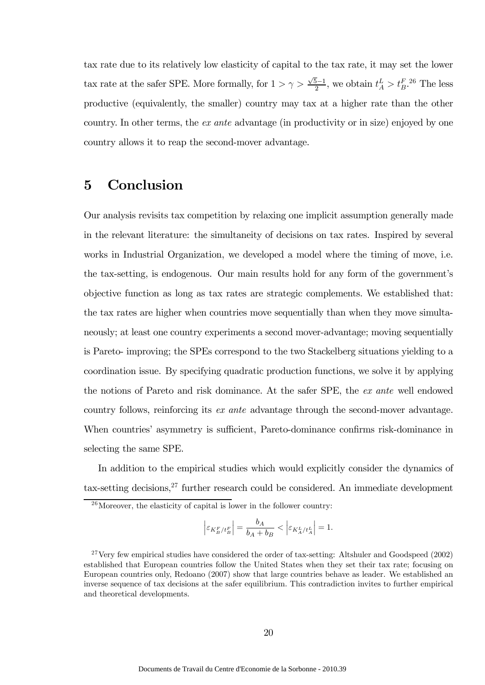tax rate due to its relatively low elasticity of capital to the tax rate, it may set the lower tax rate at the safer SPE. More formally, for  $1 > \gamma > \frac{\sqrt{5}-1}{2}$ , we obtain  $t_A^L > t_B^{F.26}$  The less productive (equivalently, the smaller) country may tax at a higher rate than the other country. In other terms, the ex ante advantage (in productivity or in size) enjoyed by one country allows it to reap the second-mover advantage.

# 5 Conclusion

Our analysis revisits tax competition by relaxing one implicit assumption generally made in the relevant literature: the simultaneity of decisions on tax rates. Inspired by several works in Industrial Organization, we developed a model where the timing of move, i.e. the tax-setting, is endogenous. Our main results hold for any form of the government's objective function as long as tax rates are strategic complements. We established that: the tax rates are higher when countries move sequentially than when they move simultaneously; at least one country experiments a second mover-advantage; moving sequentially is Pareto- improving; the SPEs correspond to the two Stackelberg situations yielding to a coordination issue. By specifying quadratic production functions, we solve it by applying the notions of Pareto and risk dominance. At the safer SPE, the ex ante well endowed country follows, reinforcing its ex ante advantage through the second-mover advantage. When countries' asymmetry is sufficient, Pareto-dominance confirms risk-dominance in selecting the same SPE.

In addition to the empirical studies which would explicitly consider the dynamics of tax-setting decisions,  $27$  further research could be considered. An immediate development

$$
\left| \varepsilon_{K^F_B / t^F_B} \right| = \frac{b_A}{b_A + b_B} < \left| \varepsilon_{K^L_A / t^L_A} \right| = 1.
$$

 $26$ Moreover, the elasticity of capital is lower in the follower country:

<sup>&</sup>lt;sup>27</sup>Very few empirical studies have considered the order of tax-setting: Altshuler and Goodspeed (2002) established that European countries follow the United States when they set their tax rate; focusing on European countries only, Redoano (2007) show that large countries behave as leader. We established an inverse sequence of tax decisions at the safer equilibrium. This contradiction invites to further empirical and theoretical developments.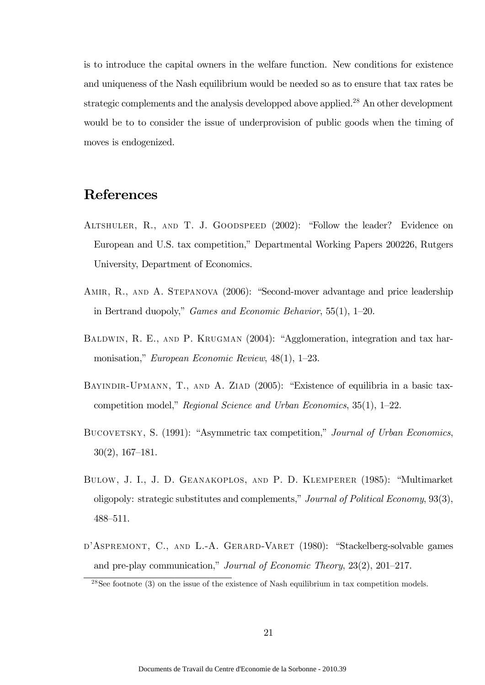is to introduce the capital owners in the welfare function. New conditions for existence and uniqueness of the Nash equilibrium would be needed so as to ensure that tax rates be strategic complements and the analysis developped above applied.28 An other development would be to to consider the issue of underprovision of public goods when the timing of moves is endogenized.

# References

- Altshuler, R., and T. J. Goodspeed (2002): "Follow the leader? Evidence on European and U.S. tax competition," Departmental Working Papers 200226, Rutgers University, Department of Economics.
- AMIR, R., AND A. STEPANOVA (2006): "Second-mover advantage and price leadership in Bertrand duopoly," Games and Economic Behavior, 55(1), 1—20.
- BALDWIN, R. E., AND P. KRUGMAN (2004): "Agglomeration, integration and tax harmonisation," European Economic Review, 48(1), 1—23.
- BAYINDIR-UPMANN, T., AND A. ZIAD (2005): "Existence of equilibria in a basic taxcompetition model," Regional Science and Urban Economics, 35(1), 1—22.
- BUCOVETSKY, S. (1991): "Asymmetric tax competition," Journal of Urban Economics, 30(2), 167—181.
- Bulow, J. I., J. D. Geanakoplos, and P. D. Klemperer (1985): "Multimarket oligopoly: strategic substitutes and complements," Journal of Political Economy, 93(3), 488—511.
- D'ASPREMONT, C., AND L.-A. GERARD-VARET (1980): "Stackelberg-solvable games and pre-play communication," Journal of Economic Theory, 23(2), 201—217.

<sup>&</sup>lt;sup>28</sup>See footnote  $(3)$  on the issue of the existence of Nash equilibrium in tax competition models.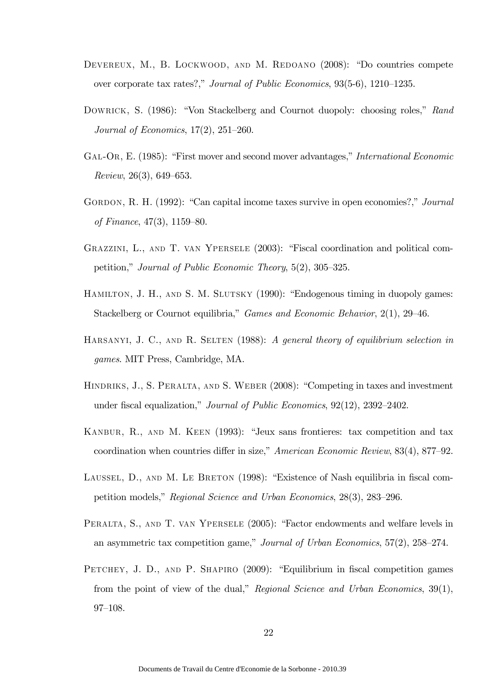- DEVEREUX, M., B. LOCKWOOD, AND M. REDOANO (2008): "Do countries compete over corporate tax rates?," Journal of Public Economics, 93(5-6), 1210—1235.
- DOWRICK, S. (1986): "Von Stackelberg and Cournot duopoly: choosing roles," Rand Journal of Economics, 17(2), 251—260.
- Gal-Or, E. (1985): "First mover and second mover advantages," International Economic Review, 26(3), 649—653.
- GORDON, R. H. (1992): "Can capital income taxes survive in open economies?," *Journal* of Finance, 47(3), 1159—80.
- Grazzini, L., and T. van Ypersele (2003): "Fiscal coordination and political competition," Journal of Public Economic Theory, 5(2), 305—325.
- Hamilton, J. H., and S. M. Slutsky (1990): "Endogenous timing in duopoly games: Stackelberg or Cournot equilibria," Games and Economic Behavior, 2(1), 29—46.
- HARSANYI, J. C., AND R. SELTEN (1988): A general theory of equilibrium selection in games. MIT Press, Cambridge, MA.
- HINDRIKS, J., S. PERALTA, AND S. WEBER (2008): "Competing in taxes and investment under fiscal equalization," Journal of Public Economics, 92(12), 2392—2402.
- Kanbur, R., and M. Keen (1993): "Jeux sans frontieres: tax competition and tax coordination when countries differ in size," American Economic Review, 83(4), 877—92.
- LAUSSEL, D., AND M. LE BRETON (1998): "Existence of Nash equilibria in fiscal competition models," Regional Science and Urban Economics, 28(3), 283—296.
- PERALTA, S., AND T. VAN YPERSELE (2005): "Factor endowments and welfare levels in an asymmetric tax competition game," Journal of Urban Economics, 57(2), 258—274.
- PETCHEY, J. D., AND P. SHAPIRO (2009): "Equilibrium in fiscal competition games from the point of view of the dual," Regional Science and Urban Economics, 39(1), 97—108.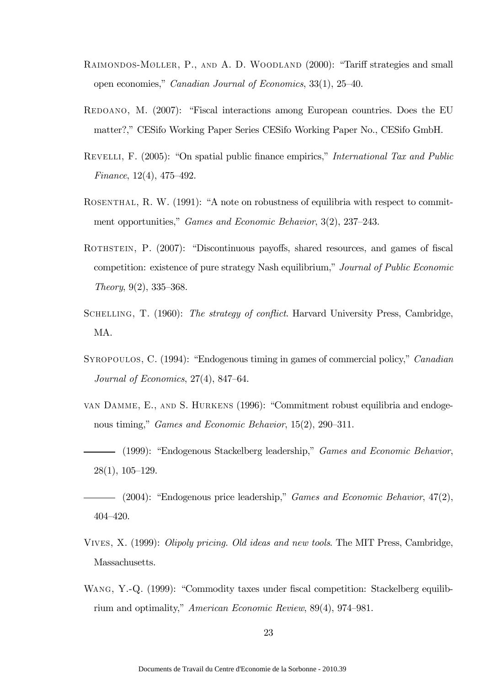- RAIMONDOS-MØLLER, P., AND A. D. WOODLAND (2000): "Tariff strategies and small open economies," Canadian Journal of Economics, 33(1), 25—40.
- REDOANO, M. (2007): "Fiscal interactions among European countries. Does the EU matter?," CESifo Working Paper Series CESifo Working Paper No., CESifo GmbH.
- REVELLI, F. (2005): "On spatial public finance empirics," International Tax and Public Finance, 12(4), 475—492.
- ROSENTHAL, R. W. (1991): "A note on robustness of equilibria with respect to commitment opportunities," *Games and Economic Behavior*, 3(2), 237–243.
- ROTHSTEIN, P. (2007): "Discontinuous payoffs, shared resources, and games of fiscal competition: existence of pure strategy Nash equilibrium," Journal of Public Economic Theory, 9(2), 335—368.
- SCHELLING, T. (1960): The strategy of conflict. Harvard University Press, Cambridge, MA.
- SYROPOULOS, C. (1994): "Endogenous timing in games of commercial policy," *Canadian* Journal of Economics, 27(4), 847—64.
- van Damme, E., and S. Hurkens (1996): "Commitment robust equilibria and endogenous timing," Games and Economic Behavior, 15(2), 290—311.
- (1999): "Endogenous Stackelberg leadership," Games and Economic Behavior, 28(1), 105—129.
- $-$  (2004): "Endogenous price leadership," *Games and Economic Behavior*,  $47(2)$ , 404—420.
- Vives, X. (1999): Olipoly pricing. Old ideas and new tools. The MIT Press, Cambridge, Massachusetts.
- WANG, Y.-Q. (1999): "Commodity taxes under fiscal competition: Stackelberg equilibrium and optimality," American Economic Review, 89(4), 974—981.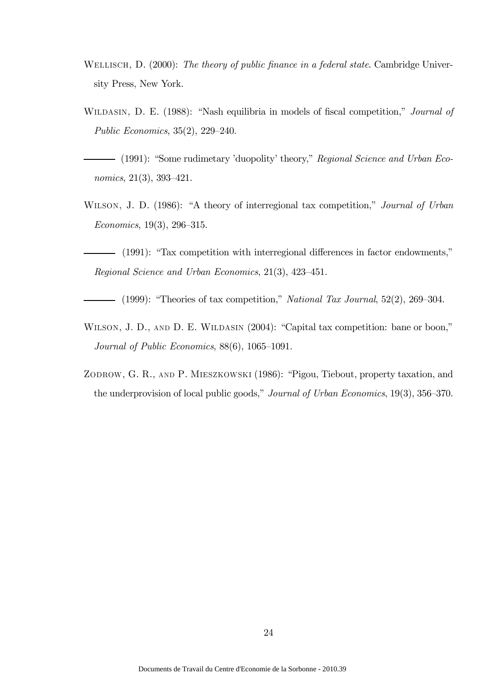- WELLISCH, D. (2000): The theory of public finance in a federal state. Cambridge University Press, New York.
- WILDASIN, D. E. (1988): "Nash equilibria in models of fiscal competition," *Journal of* Public Economics, 35(2), 229—240.
- (1991): "Some rudimetary 'duopolity' theory," Regional Science and Urban Economics, 21(3), 393—421.
- WILSON, J. D. (1986): "A theory of interregional tax competition," Journal of Urban Economics, 19(3), 296—315.
- (1991): "Tax competition with interregional differences in factor endowments," Regional Science and Urban Economics, 21(3), 423—451.
- $-$  (1999): "Theories of tax competition," National Tax Journal, 52(2), 269–304.
- WILSON, J. D., AND D. E. WILDASIN (2004): "Capital tax competition: bane or boon," Journal of Public Economics, 88(6), 1065—1091.
- ZODROW, G. R., AND P. MIESZKOWSKI (1986): "Pigou, Tiebout, property taxation, and the underprovision of local public goods," Journal of Urban Economics, 19(3), 356—370.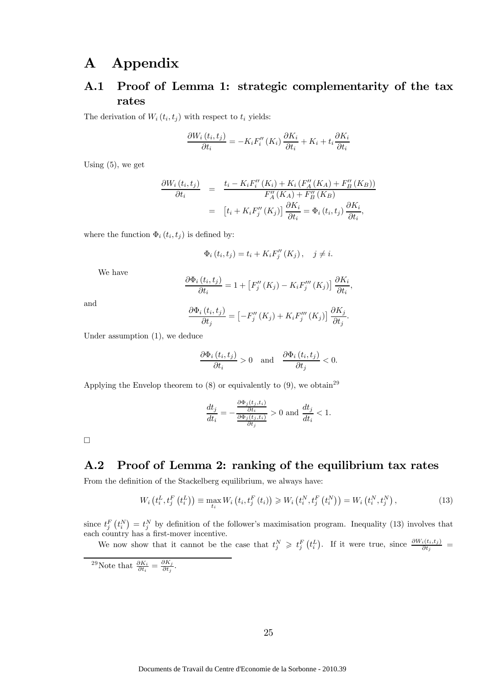# A Appendix

## A.1 Proof of Lemma 1: strategic complementarity of the tax rates

The derivation of  $W_i(t_i, t_j)$  with respect to  $t_i$  yields:

$$
\frac{\partial W_i(t_i, t_j)}{\partial t_i} = -K_i F_i''(K_i) \frac{\partial K_i}{\partial t_i} + K_i + t_i \frac{\partial K_i}{\partial t_i}
$$

Using  $(5)$ , we get

$$
\frac{\partial W_i(t_i, t_j)}{\partial t_i} = \frac{t_i - K_i F_i''(K_i) + K_i (F_A''(K_A) + F_B''(K_B))}{F_A''(K_A) + F_B''(K_B)}
$$

$$
= [t_i + K_i F_j''(K_j)] \frac{\partial K_i}{\partial t_i} = \Phi_i(t_i, t_j) \frac{\partial K_i}{\partial t_i},
$$

where the function  $\Phi_i(t_i, t_j)$  is defined by:

$$
\Phi_i(t_i, t_j) = t_i + K_i F_j''(K_j), \quad j \neq i.
$$

We have

$$
\frac{\partial \Phi_i(t_i, t_j)}{\partial t_i} = 1 + \left[ F_j''(K_j) - K_i F_j'''(K_j) \right] \frac{\partial K_i}{\partial t_i}
$$

,

and

$$
\frac{\partial \Phi_i(t_i, t_j)}{\partial t_j} = \left[ -F_j''(K_j) + K_i F_j'''(K_j) \right] \frac{\partial K_j}{\partial t_j}.
$$

Under assumption (1), we deduce

$$
\frac{\partial \Phi_i(t_i, t_j)}{\partial t_i} > 0 \quad \text{and} \quad \frac{\partial \Phi_i(t_i, t_j)}{\partial t_j} < 0.
$$

Applying the Envelop theorem to  $(8)$  or equivalently to  $(9)$ , we obtain<sup>29</sup>

$$
\frac{dt_j}{dt_i} = -\frac{\frac{\partial \Phi_j(t_j, t_i)}{\partial t_i}}{\frac{\partial \Phi_j(t_j, t_i)}{\partial t_j}} > 0 \text{ and } \frac{dt_j}{dt_i} < 1.
$$

 $\Box$ 

### A.2 Proof of Lemma 2: ranking of the equilibrium tax rates

From the definition of the Stackelberg equilibrium, we always have:

$$
W_{i}\left(t_{i}^{L}, t_{j}^{F}\left(t_{i}^{L}\right)\right) \equiv \max_{t_{i}} W_{i}\left(t_{i}, t_{j}^{F}\left(t_{i}\right)\right) \geq W_{i}\left(t_{i}^{N}, t_{j}^{F}\left(t_{i}^{N}\right)\right) = W_{i}\left(t_{i}^{N}, t_{j}^{N}\right),\tag{13}
$$

since  $t_j^F(t_i^N) = t_j^N$  by definition of the follower's maximisation program. Inequality (13) involves that each country has a first-mover incentive.

We now show that it cannot be the case that  $t_j^N \geqslant t_j^F(t_i^L)$ . If it were true, since  $\frac{\partial W_i(t_i,t_j)}{\partial t_j}$ 

<sup>29</sup>Note that  $\frac{\partial K_i}{\partial t_i} = \frac{\partial K_j}{\partial t_j}$ .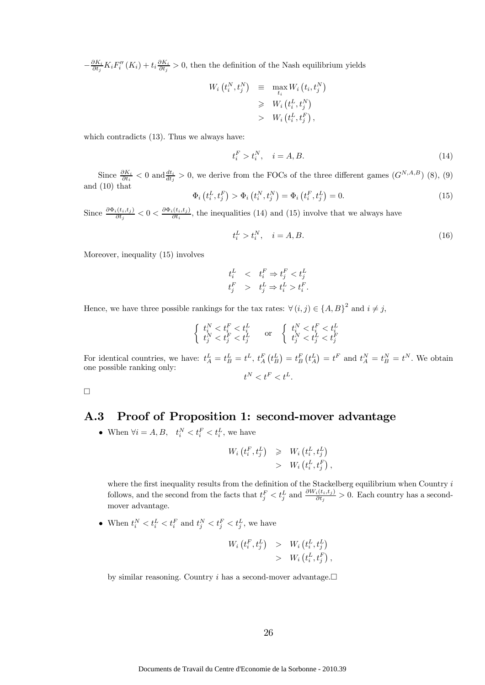$-\frac{\partial K_i}{\partial t_j}K_iF''_i(K_i) + t_i\frac{\partial K_i}{\partial t_j} > 0$ , then the definition of the Nash equilibrium yields

$$
W_i(t_i^N, t_j^N) \equiv \max_{t_i} W_i(t_i, t_j^N)
$$
  
\n
$$
\geq W_i(t_i^L, t_j^N)
$$
  
\n
$$
> W_i(t_i^L, t_j^F),
$$

which contradicts (13). Thus we always have:

$$
t_i^F > t_i^N, \quad i = A, B. \tag{14}
$$

Since  $\frac{\partial K_i}{\partial t_i}$  < 0 and  $\frac{dt_i}{dt_j}$  > 0, we derive from the FOCs of the three different games  $(G^{N,A,B})$  (8), (9) and (10) that

$$
\Phi_i(t_i^L, t_j^F) > \Phi_i(t_i^N, t_j^N) = \Phi_i(t_i^F, t_j^L) = 0. \tag{15}
$$

Since  $\frac{\partial \Phi_i(t_i,t_j)}{\partial t_j} < 0 < \frac{\partial \Phi_i(t_i,t_j)}{\partial t_i}$ , the inequalities (14) and (15) involve that we always have

$$
t_i^L > t_i^N, \quad i = A, B. \tag{16}
$$

Moreover, inequality (15) involves

$$
t_i^L \quad < \quad t_i^F \Rightarrow t_j^F < t_j^L
$$
\n
$$
t_j^F \quad > \quad t_j^L \Rightarrow t_i^L > t_i^F.
$$

Hence, we have three possible rankings for the tax rates:  $\forall (i, j) \in \{A, B\}^2$  and  $i \neq j$ ,

$$
\left\{ \begin{array}{ll} t_i^N < t_i^F < t_i^L \\ t_j^N < t_j^F < t_j^L \end{array} \right. \quad \text{or} \quad \left\{ \begin{array}{ll} t_i^N < t_i^F < t_i^L \\ t_j^N < t_j^L < t_j^F \end{array} \right.
$$

For identical countries, we have:  $t_A^L = t_B^L = t^L$ ,  $t_A^F(t_B^L) = t_B^F(t_A^L) = t^F$  and  $t_A^N = t_B^N = t^N$ . We obtain one possible ranking only:  $t^N < t^F < t^L$ .

 $\Box$ 

### A.3 Proof of Proposition 1: second-mover advantage

• When  $\forall i = A, B, \quad t_i^N < t_i^F < t_i^L$ , we have

$$
W_i(t_i^F, t_j^L) \geqslant W_i(t_i^L, t_j^L) > W_i(t_i^L, t_j^F),
$$

where the first inequality results from the definition of the Stackelberg equilibrium when Country i follows, and the second from the facts that  $t_j^F < t_j^L$  and  $\frac{\partial W_i(t_i,t_j)}{\partial t_j} > 0$ . Each country has a secondmover advantage.

• When  $t_i^N < t_i^L < t_i^F$  and  $t_j^N < t_j^F < t_j^L$ , we have

$$
W_i(t_i^F, t_j^L) > W_i(t_i^L, t_j^L) > W_i(t_i^L, t_j^F),
$$

by similar reasoning. Country i has a second-mover advantage. $\Box$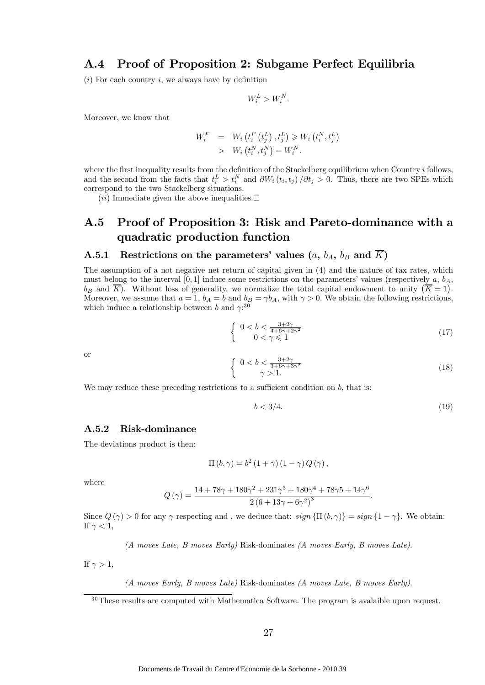#### A.4 Proof of Proposition 2: Subgame Perfect Equilibria

 $(i)$  For each country i, we always have by definition

$$
W_i^L > W_i^N.
$$

Moreover, we know that

$$
W_i^F = W_i \left( t_i^F \left( t_j^L \right), t_j^L \right) \geq W_i \left( t_i^N, t_j^L \right) \\
> W_i \left( t_i^N, t_j^N \right) = W_i^N.
$$

where the first inequality results from the definition of the Stackelberg equilibrium when Country  $i$  follows, and the second from the facts that  $t_i^L > t_i^N$  and  $\partial W_i(t_i, t_j) / \partial t_j > 0$ . Thus, there are two SPEs which correspond to the two Stackelberg situations.

 $(ii)$  Immediate given the above inequalities.

## A.5 Proof of Proposition 3: Risk and Pareto-dominance with a quadratic production function

#### A.5.1 Restrictions on the parameters' values  $(a, b<sub>A</sub>, b<sub>B</sub>$  and  $\overline{K}$ )

The assumption of a not negative net return of capital given in (4) and the nature of tax rates, which must belong to the interval [0, 1] induce some restrictions on the parameters' values (respectively  $a, b<sub>A</sub>$ ,  $b_B$  and  $\overline{K}$ ). Without loss of generality, we normalize the total capital endowment to unity  $(\overline{K} = 1)$ . Moreover, we assume that  $a = 1$ ,  $b_A = b$  and  $b_B = \gamma b_A$ , with  $\gamma > 0$ . We obtain the following restrictions, which induce a relationship between b and  $\gamma$ <sup>30</sup>

$$
\begin{cases} 0 < b < \frac{3+2\gamma}{4+6\gamma+2\gamma^2} \\ 0 < \gamma \leq 1 \end{cases} \tag{17}
$$

or

$$
\begin{cases} 0 < b < \frac{3+2\gamma}{3+6\gamma+3\gamma^2} \\ \gamma > 1. \end{cases} \tag{18}
$$

We may reduce these preceding restrictions to a sufficient condition on  $b$ , that is:

$$
b < 3/4. \tag{19}
$$

#### A.5.2 Risk-dominance

The deviations product is then:

$$
\Pi(b,\gamma) = b^2 (1+\gamma) (1-\gamma) Q(\gamma),
$$

where

$$
Q(\gamma) = \frac{14 + 78\gamma + 180\gamma^{2} + 231\gamma^{3} + 180\gamma^{4} + 78\gamma5 + 14\gamma^{6}}{2(6 + 13\gamma + 6\gamma^{2})^{3}}.
$$

Since  $Q(\gamma) > 0$  for any  $\gamma$  respecting and, we deduce that:  $sign\{\Pi(b, \gamma)\} = sign\{1 - \gamma\}$ . We obtain: If  $\gamma < 1$ ,

(A moves Late, B moves Early) Risk-dominates (A moves Early, B moves Late).

If  $\gamma > 1$ ,

(A moves Early, B moves Late) Risk-dominates (A moves Late, B moves Early).

 $30$ These results are computed with Mathematica Software. The program is avalaible upon request.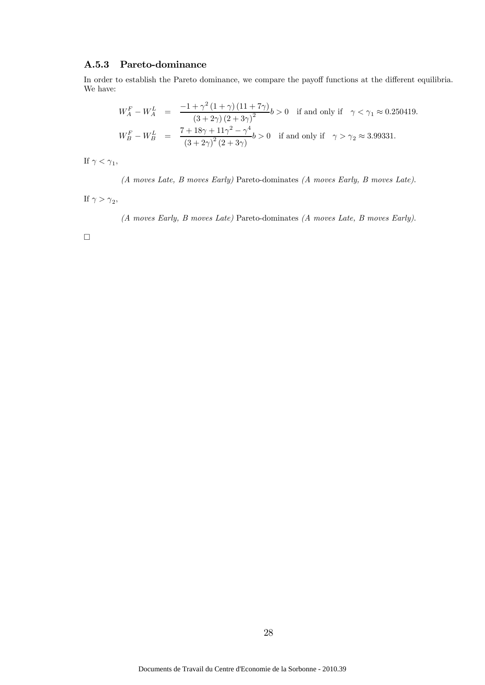#### A.5.3 Pareto-dominance

In order to establish the Pareto dominance, we compare the payoff functions at the different equilibria. We have:

$$
W_A^F - W_A^L = \frac{-1 + \gamma^2 (1 + \gamma) (11 + 7\gamma)}{(3 + 2\gamma) (2 + 3\gamma)^2} b > 0
$$
 if and only if  $\gamma < \gamma_1 \approx 0.250419$ .  
\n
$$
W_B^F - W_B^L = \frac{7 + 18\gamma + 11\gamma^2 - \gamma^4}{(3 + 2\gamma)^2 (2 + 3\gamma)} b > 0
$$
 if and only if  $\gamma > \gamma_2 \approx 3.99331$ .

If  $\gamma < \gamma_1$ ,

(A moves Late, B moves Early) Pareto-dominates (A moves Early, B moves Late).

If  $\gamma > \gamma_2$ ,

(A moves Early, B moves Late) Pareto-dominates (A moves Late, B moves Early).

 $\Box$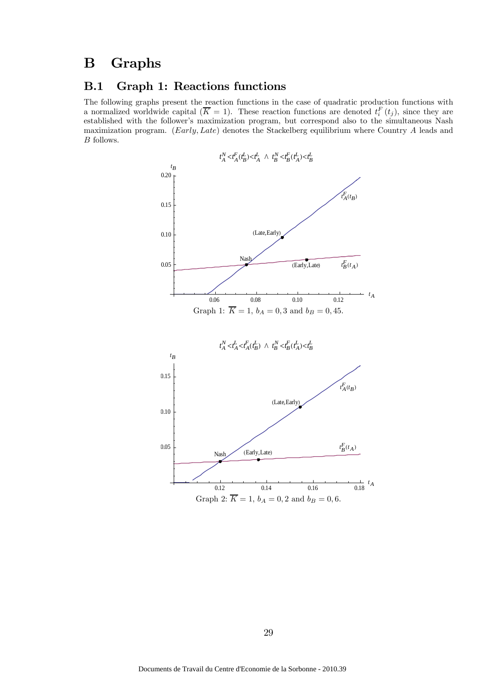# B Graphs

### B.1 Graph 1: Reactions functions

The following graphs present the reaction functions in the case of quadratic production functions with a normalized worldwide capital  $(\overline{K} = 1)$ . These reaction functions are denoted  $t_i^F(t_j)$ , since they are established with the follower's maximization program, but correspond also to the simultaneous Nash maximization program. (Early, Late) denotes the Stackelberg equilibrium where Country A leads and B follows.